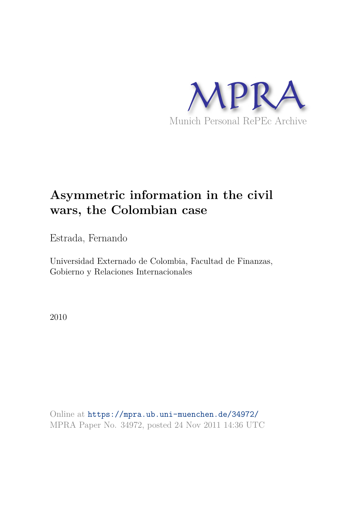

# **Asymmetric information in the civil wars, the Colombian case**

Estrada, Fernando

Universidad Externado de Colombia, Facultad de Finanzas, Gobierno y Relaciones Internacionales

2010

Online at https://mpra.ub.uni-muenchen.de/34972/ MPRA Paper No. 34972, posted 24 Nov 2011 14:36 UTC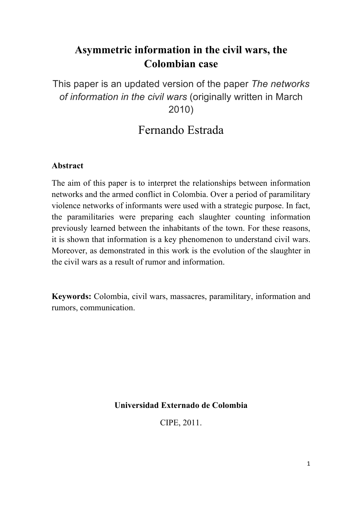# **Asymmetric information in the civil wars, the Colombian case**

This paper is an updated version of the paper *The networks of information in the civil wars* (originally written in March 2010)

# Fernando Estrada

## **Abstract**

The aim of this paper is to interpret the relationships between information networks and the armed conflict in Colombia. Over a period of paramilitary violence networks of informants were used with a strategic purpose. In fact, the paramilitaries were preparing each slaughter counting information previously learned between the inhabitants of the town. For these reasons, it is shown that information is a key phenomenon to understand civil wars. Moreover, as demonstrated in this work is the evolution of the slaughter in the civil wars as a result of rumor and information.

**Keywords:** Colombia, civil wars, massacres, paramilitary, information and rumors, communication.

**Universidad Externado de Colombia**

CIPE, 2011.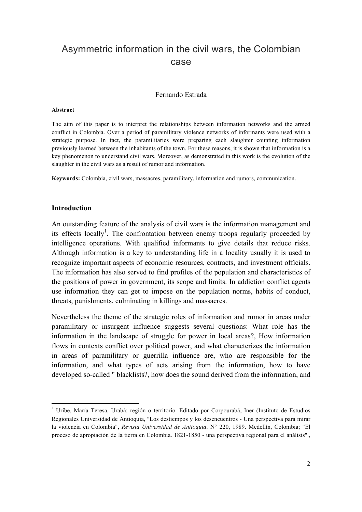# Asymmetric information in the civil wars, the Colombian case

### Fernando Estrada

#### **Abstract**

The aim of this paper is to interpret the relationships between information networks and the armed conflict in Colombia. Over a period of paramilitary violence networks of informants were used with a strategic purpose. In fact, the paramilitaries were preparing each slaughter counting information previously learned between the inhabitants of the town. For these reasons, it is shown that information is a key phenomenon to understand civil wars. Moreover, as demonstrated in this work is the evolution of the slaughter in the civil wars as a result of rumor and information.

**Keywords:** Colombia, civil wars, massacres, paramilitary, information and rumors, communication.

#### **Introduction**

An outstanding feature of the analysis of civil wars is the information management and its effects locally<sup>1</sup>. The confrontation between enemy troops regularly proceeded by intelligence operations. With qualified informants to give details that reduce risks. Although information is a key to understanding life in a locality usually it is used to recognize important aspects of economic resources, contracts, and investment officials. The information has also served to find profiles of the population and characteristics of the positions of power in government, its scope and limits. In addiction conflict agents use information they can get to impose on the population norms, habits of conduct, threats, punishments, culminating in killings and massacres.

Nevertheless the theme of the strategic roles of information and rumor in areas under paramilitary or insurgent influence suggests several questions: What role has the information in the landscape of struggle for power in local areas?, How information flows in contexts conflict over political power, and what characterizes the information in areas of paramilitary or guerrilla influence are, who are responsible for the information, and what types of acts arising from the information, how to have developed so-called " blacklists?, how does the sound derived from the information, and

<sup>1</sup> Uribe, María Teresa, Urabá: región o territorio. Editado por Corpourabá, Iner (Instituto de Estudios Regionales Universidad de Antioquia, "Los destiempos y los desencuentros - Una perspectiva para mirar la violencia en Colombia", *Revista Universidad de Antioquia*. N° 220, 1989. Medellín, Colombia; "El proceso de apropiación de la tierra en Colombia. 1821-1850 - una perspectiva regional para el análisis".,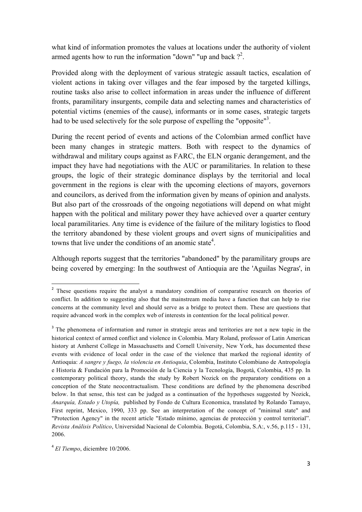what kind of information promotes the values at locations under the authority of violent armed agents how to run the information "down" "up and back  $?^2$ .

Provided along with the deployment of various strategic assault tactics, escalation of violent actions in taking over villages and the fear imposed by the targeted killings, routine tasks also arise to collect information in areas under the influence of different fronts, paramilitary insurgents, compile data and selecting names and characteristics of potential victims (enemies of the cause), informants or in some cases, strategic targets had to be used selectively for the sole purpose of expelling the "opposite"<sup>3</sup>.

During the recent period of events and actions of the Colombian armed conflict have been many changes in strategic matters. Both with respect to the dynamics of withdrawal and military coups against as FARC, the ELN organic derangement, and the impact they have had negotiations with the AUC or paramilitaries. In relation to these groups, the logic of their strategic dominance displays by the territorial and local government in the regions is clear with the upcoming elections of mayors, governors and councilors, as derived from the information given by means of opinion and analysts. But also part of the crossroads of the ongoing negotiations will depend on what might happen with the political and military power they have achieved over a quarter century local paramilitaries. Any time is evidence of the failure of the military logistics to flood the territory abandoned by these violent groups and overt signs of municipalities and towns that live under the conditions of an anomic state<sup>4</sup>.

Although reports suggest that the territories "abandoned" by the paramilitary groups are being covered by emerging: In the southwest of Antioquia are the 'Aguilas Negras', in

4 *El Tiempo*, diciembre 10/2006.

<sup>&</sup>lt;sup>2</sup> These questions require the analyst a mandatory condition of comparative research on theories of conflict. In addition to suggesting also that the mainstream media have a function that can help to rise concerns at the community level and should serve as a bridge to protect them. These are questions that require advanced work in the complex web of interests in contention for the local political power.

<sup>&</sup>lt;sup>3</sup> The phenomena of information and rumor in strategic areas and territories are not a new topic in the historical context of armed conflict and violence in Colombia. Mary Roland, professor of Latin American history at Amherst College in Massachusetts and Cornell University, New York, has documented these events with evidence of local order in the case of the violence that marked the regional identity of Antioquia: *A sangre y fuego, la violencia en Antioquia*, Colombia, Instituto Colombiano de Antropología e Historia & Fundación para la Promoción de la Ciencia y la Tecnología, Bogotá, Colombia, 435 pp. In contemporary political theory, stands the study by Robert Nozick on the preparatory conditions on a conception of the State neocontractualism. These conditions are defined by the phenomena described below. In that sense, this test can be judged as a continuation of the hypotheses suggested by Nozick, *Anarquía, Estado y Utopía,* published by Fondo de Cultura Economica, translated by Rolando Tamayo, First reprint, Mexico, 1990, 333 pp. See an interpretation of the concept of "minimal state" and "Protection Agency" in the recent article "Estado mínimo, agencias de protección y control territorial". *Revista Análisis Político*, Universidad Nacional de Colombia. Bogotá, Colombia, S.A:, v.56, p.115 - 131, 2006.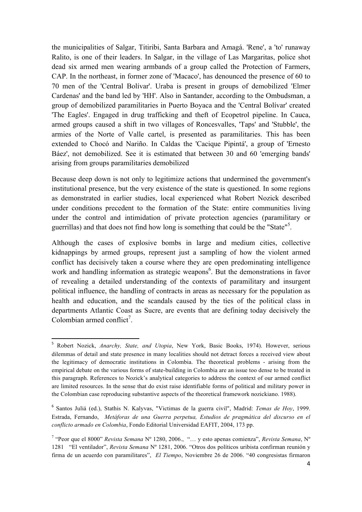the municipalities of Salgar, Titiribi, Santa Barbara and Amagá. 'Rene', a 'to' runaway Ralito, is one of their leaders. In Salgar, in the village of Las Margaritas, police shot dead six armed men wearing armbands of a group called the Protection of Farmers, CAP. In the northeast, in former zone of 'Macaco', has denounced the presence of 60 to 70 men of the 'Central Bolívar'. Uraba is present in groups of demobilized 'Elmer Cardenas' and the band led by 'HH'. Also in Santander, according to the Ombudsman, a group of demobilized paramilitaries in Puerto Boyaca and the 'Central Bolívar' created 'The Eagles'. Engaged in drug trafficking and theft of Ecopetrol pipeline. In Cauca, armed groups caused a shift in two villages of Roncesvalles, 'Taps' and 'Stubble', the armies of the Norte of Valle cartel, is presented as paramilitaries. This has been extended to Chocó and Nariño. In Caldas the 'Cacique Pipintá', a group of 'Ernesto Báez', not demobilized. See it is estimated that between 30 and 60 'emerging bands' arising from groups paramilitaries demobilized

Because deep down is not only to legitimize actions that undermined the government's institutional presence, but the very existence of the state is questioned. In some regions as demonstrated in earlier studies, local experienced what Robert Nozick described under conditions precedent to the formation of the State: entire communities living under the control and intimidation of private protection agencies (paramilitary or guerrillas) and that does not find how long is something that could be the "State"<sup>5</sup> .

Although the cases of explosive bombs in large and medium cities, collective kidnappings by armed groups, represent just a sampling of how the violent armed conflict has decisively taken a course where they are open predominating intelligence work and handling information as strategic weapons<sup>6</sup>. But the demonstrations in favor of revealing a detailed understanding of the contexts of paramilitary and insurgent political influence, the handling of contracts in areas as necessary for the population as health and education, and the scandals caused by the ties of the political class in departments Atlantic Coast as Sucre, are events that are defining today decisively the Colombian armed conflict<sup>7</sup>.

<sup>5</sup> Robert Nozick, *Anarchy, State, and Utopia*, New York, Basic Books, 1974). However, serious dilemmas of detail and state presence in many localities should not detract forces a received view about the legitimacy of democratic institutions in Colombia. The theoretical problems - arising from the empirical debate on the various forms of state-building in Colombia are an issue too dense to be treated in this paragraph. References to Nozick's analytical categories to address the context of our armed conflict are limited resources. In the sense that do exist raise identifiable forms of political and military power in the Colombian case reproducing substantive aspects of the theoretical framework nozickiano. 1988).

<sup>6</sup> Santos Juliá (ed.), Stathis N. Kalyvas, "Victimas de la guerra civil", Madrid: *Temas de Hoy*, 1999. Estrada, Fernando, *Metáforas de una Guerra perpetua, Estudios de pragmática del discurso en el conflicto armado en Colombia*, Fondo Editorial Universidad EAFIT, 2004, 173 pp.

<sup>7</sup> "Peor que el 8000" *Revista Semana* Nº 1280, 2006., "… y esto apenas comienza", *Revista Semana*, Nº 1281 "El ventilador", *Revista Semana* Nº 1281, 2006. "Otros dos políticos uribista confirman reunión y firma de un acuerdo con paramilitares", *El Tiempo*, Noviembre 26 de 2006. "40 congresistas firmaron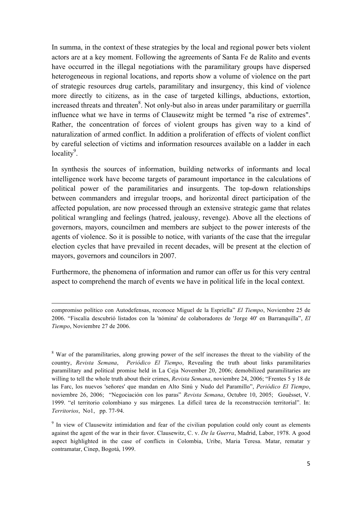In summa, in the context of these strategies by the local and regional power bets violent actors are at a key moment. Following the agreements of Santa Fe de Ralito and events have occurred in the illegal negotiations with the paramilitary groups have dispersed heterogeneous in regional locations, and reports show a volume of violence on the part of strategic resources drug cartels, paramilitary and insurgency, this kind of violence more directly to citizens, as in the case of targeted killings, abductions, extortion, increased threats and threaten<sup>8</sup>. Not only-but also in areas under paramilitary or guerrilla influence what we have in terms of Clausewitz might be termed "a rise of extremes". Rather, the concentration of forces of violent groups has given way to a kind of naturalization of armed conflict. In addition a proliferation of effects of violent conflict by careful selection of victims and information resources available on a ladder in each locality $9$ .

In synthesis the sources of information, building networks of informants and local intelligence work have become targets of paramount importance in the calculations of political power of the paramilitaries and insurgents. The top-down relationships between commanders and irregular troops, and horizontal direct participation of the affected population, are now processed through an extensive strategic game that relates political wrangling and feelings (hatred, jealousy, revenge). Above all the elections of governors, mayors, councilmen and members are subject to the power interests of the agents of violence. So it is possible to notice, with variants of the case that the irregular election cycles that have prevailed in recent decades, will be present at the election of mayors, governors and councilors in 2007.

Furthermore, the phenomena of information and rumor can offer us for this very central aspect to comprehend the march of events we have in political life in the local context.

<u> 1989 - Andrea San Andrew Maria (h. 1989).</u>

<sup>8</sup> War of the paramilitaries, along growing power of the self increases the threat to the viability of the country, *Revista Semana*, *Periódico El Tiempo*, Revealing the truth about links paramilitaries paramilitary and political promise held in La Ceja November 20, 2006; demobilized paramilitaries are willing to tell the whole truth about their crimes, *Revista Semana*, noviembre 24, 2006; "Frentes 5 y 18 de las Farc, los nuevos 'señores' que mandan en Alto Sinú y Nudo del Paramillo", *Periódico El Tiempo*, noviembre 26, 2006; "Negociación con los paras" *Revista Semana*, Octubre 10, 2005; Gouësset, V. 1999. "el territorio colombiano y sus márgenes. La difícil tarea de la reconstrucción territorial". In: *Territorios*, No1, pp. 77-94.

<sup>9</sup> In view of Clausewitz intimidation and fear of the civilian population could only count as elements against the agent of the war in their favor. Clausewitz, C. v. *De la Guerra*, Madrid, Labor, 1978. A good aspect highlighted in the case of conflicts in Colombia, Uribe, Maria Teresa. Matar, rematar y contramatar, Cinep, Bogotá, 1999.

compromiso político con Autodefensas, reconoce Miguel de la Espriella" *El Tiempo*, Noviembre 25 de 2006. "Fiscalía descubrió listados con la 'nómina' de colaboradores de 'Jorge 40' en Barranquilla", *El Tiempo*, Noviembre 27 de 2006.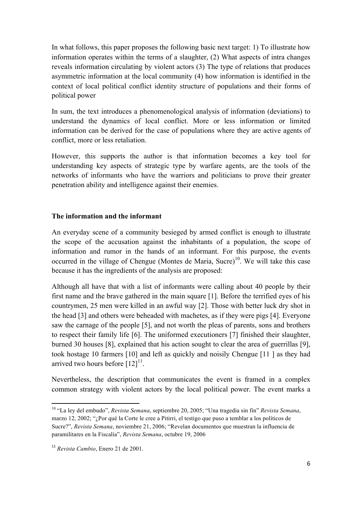In what follows, this paper proposes the following basic next target: 1) To illustrate how information operates within the terms of a slaughter, (2) What aspects of intra changes reveals information circulating by violent actors (3) The type of relations that produces asymmetric information at the local community (4) how information is identified in the context of local political conflict identity structure of populations and their forms of political power

In sum, the text introduces a phenomenological analysis of information (deviations) to understand the dynamics of local conflict. More or less information or limited information can be derived for the case of populations where they are active agents of conflict, more or less retaliation.

However, this supports the author is that information becomes a key tool for understanding key aspects of strategic type by warfare agents, are the tools of the networks of informants who have the warriors and politicians to prove their greater penetration ability and intelligence against their enemies.

### **The information and the informant**

An everyday scene of a community besieged by armed conflict is enough to illustrate the scope of the accusation against the inhabitants of a population, the scope of information and rumor in the hands of an informant. For this purpose, the events occurred in the village of Chengue (Montes de Maria, Sucre)<sup>10</sup>. We will take this case because it has the ingredients of the analysis are proposed:

Although all have that with a list of informants were calling about 40 people by their first name and the brave gathered in the main square [1]. Before the terrified eyes of his countrymen, 25 men were killed in an awful way [2]. Those with better luck dry shot in the head [3] and others were beheaded with machetes, as if they were pigs [4]. Everyone saw the carnage of the people [5], and not worth the pleas of parents, sons and brothers to respect their family life [6]. The uniformed executioners [7] finished their slaughter, burned 30 houses [8], explained that his action sought to clear the area of guerrillas [9], took hostage 10 farmers [10] and left as quickly and noisily Chengue [11 ] as they had arrived two hours before  $[12]^{11}$ .

Nevertheless, the description that communicates the event is framed in a complex common strategy with violent actors by the local political power. The event marks a

<sup>10</sup> "La ley del embudo", *Revista Semana*, septiembre 20, 2005; "Una tragedia sin fin" *Revista Semana*, marzo 12, 2002; "¿Por qué la Corte le cree a Pitirri, el testigo que puso a temblar a los políticos de Sucre?", *Revista Semana*, noviembre 21, 2006; "Revelan documentos que muestran la influencia de paramilitares en la Fiscalía", *Revista Semana*, octubre 19, 2006

<sup>11</sup> *Revista Cambio*, Enero 21 de 2001.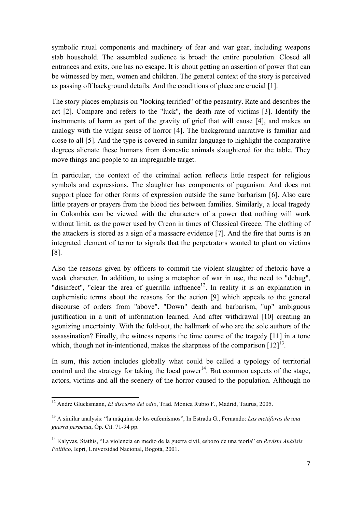symbolic ritual components and machinery of fear and war gear, including weapons stab household. The assembled audience is broad: the entire population. Closed all entrances and exits, one has no escape. It is about getting an assertion of power that can be witnessed by men, women and children. The general context of the story is perceived as passing off background details. And the conditions of place are crucial [1].

The story places emphasis on "looking terrified" of the peasantry. Rate and describes the act [2]. Compare and refers to the "luck", the death rate of victims [3]. Identify the instruments of harm as part of the gravity of grief that will cause [4], and makes an analogy with the vulgar sense of horror [4]. The background narrative is familiar and close to all [5]. And the type is covered in similar language to highlight the comparative degrees alienate these humans from domestic animals slaughtered for the table. They move things and people to an impregnable target.

In particular, the context of the criminal action reflects little respect for religious symbols and expressions. The slaughter has components of paganism. And does not support place for other forms of expression outside the same barbarism [6]. Also care little prayers or prayers from the blood ties between families. Similarly, a local tragedy in Colombia can be viewed with the characters of a power that nothing will work without limit, as the power used by Creon in times of Classical Greece. The clothing of the attackers is stored as a sign of a massacre evidence [7]. And the fire that burns is an integrated element of terror to signals that the perpetrators wanted to plant on victims [8].

Also the reasons given by officers to commit the violent slaughter of rhetoric have a weak character. In addition, to using a metaphor of war in use, the need to "debug", "disinfect", "clear the area of guerrilla influence<sup>12</sup>. In reality it is an explanation in euphemistic terms about the reasons for the action [9] which appeals to the general discourse of orders from "above". "Down" death and barbarism, "up" ambiguous justification in a unit of information learned. And after withdrawal [10] creating an agonizing uncertainty. With the fold-out, the hallmark of who are the sole authors of the assassination? Finally, the witness reports the time course of the tragedy [11] in a tone which, though not in-intentioned, makes the sharpness of the comparison  $[12]^{13}$ .

In sum, this action includes globally what could be called a typology of territorial control and the strategy for taking the local power<sup>14</sup>. But common aspects of the stage, actors, victims and all the scenery of the horror caused to the population. Although no

<sup>12</sup> André Glucksmann, *El discurso del odio*, Trad. Mónica Rubio F., Madrid, Taurus, 2005.

<sup>13</sup> A similar analysis: "la máquina de los eufemismos", In Estrada G., Fernando: *Las metáforas de una guerra perpetua*, Óp. Cit. 71-94 pp.

<sup>14</sup> Kalyvas, Stathis, "La violencia en medio de la guerra civil, esbozo de una teoría" en *Revista Análisis Político*, Iepri, Universidad Nacional, Bogotá, 2001.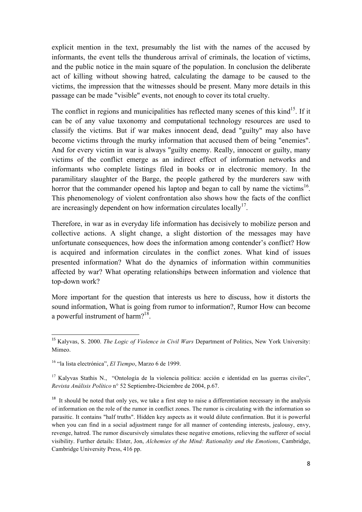explicit mention in the text, presumably the list with the names of the accused by informants, the event tells the thunderous arrival of criminals, the location of victims, and the public notice in the main square of the population. In conclusion the deliberate act of killing without showing hatred, calculating the damage to be caused to the victims, the impression that the witnesses should be present. Many more details in this passage can be made "visible" events, not enough to cover its total cruelty.

The conflict in regions and municipalities has reflected many scenes of this  $\text{kind}^{15}$ . If it can be of any value taxonomy and computational technology resources are used to classify the victims. But if war makes innocent dead, dead "guilty" may also have become victims through the murky information that accused them of being "enemies". And for every victim in war is always "guilty enemy. Really, innocent or guilty, many victims of the conflict emerge as an indirect effect of information networks and informants who complete listings filed in books or in electronic memory. In the paramilitary slaughter of the Barge, the people gathered by the murderers saw with horror that the commander opened his laptop and began to call by name the victims<sup>16</sup>. This phenomenology of violent confrontation also shows how the facts of the conflict are increasingly dependent on how information circulates locally $17$ .

Therefore, in war as in everyday life information has decisively to mobilize person and collective actions. A slight change, a slight distortion of the messages may have unfortunate consequences, how does the information among contender's conflict? How is acquired and information circulates in the conflict zones. What kind of issues presented information? What do the dynamics of information within communities affected by war? What operating relationships between information and violence that top-down work?

More important for the question that interests us here to discuss, how it distorts the sound information, What is going from rumor to information?, Rumor How can become a powerful instrument of harm? $18$ .

<sup>15</sup> Kalyvas, S. 2000. *The Logic of Violence in Civil Wars* Department of Politics, New York University: Mimeo.

<sup>16</sup> "la lista electrónica", *El Tiempo*, Marzo 6 de 1999.

 $17$  Kalyvas Stathis N., "Ontología de la violencia política: acción e identidad en las guerras civiles", *Revista Análisis Político* n° 52 Septiembre-Diciembre de 2004, p.67.

 $18$  It should be noted that only yes, we take a first step to raise a differentiation necessary in the analysis of information on the role of the rumor in conflict zones. The rumor is circulating with the information so parasitic. It contains "half truths". Hidden key aspects as it would dilute confirmation. But it is powerful when you can find in a social adjustment range for all manner of contending interests, jealousy, envy, revenge, hatred. The rumor discursively simulates these negative emotions, relieving the sufferer of social visibility. Further details: Elster, Jon, *Alchemies of the Mind: Rationality and the Emotions*, Cambridge, Cambridge University Press, 416 pp.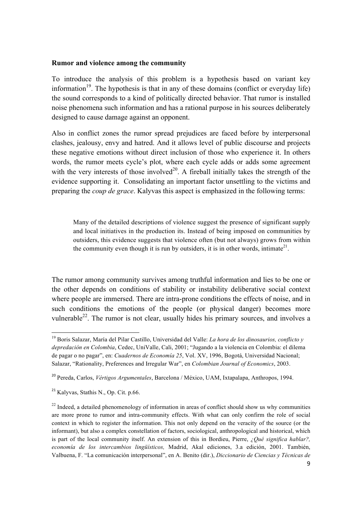#### **Rumor and violence among the community**

To introduce the analysis of this problem is a hypothesis based on variant key information<sup>19</sup>. The hypothesis is that in any of these domains (conflict or everyday life) the sound corresponds to a kind of politically directed behavior. That rumor is installed noise phenomena such information and has a rational purpose in his sources deliberately designed to cause damage against an opponent.

Also in conflict zones the rumor spread prejudices are faced before by interpersonal clashes, jealousy, envy and hatred. And it allows level of public discourse and projects these negative emotions without direct inclusion of those who experience it. In others words, the rumor meets cycle's plot, where each cycle adds or adds some agreement with the very interests of those involved<sup>20</sup>. A fireball initially takes the strength of the evidence supporting it. Consolidating an important factor unsettling to the victims and preparing the *coup de grace*. Kalyvas this aspect is emphasized in the following terms:

Many of the detailed descriptions of violence suggest the presence of significant supply and local initiatives in the production its. Instead of being imposed on communities by outsiders, this evidence suggests that violence often (but not always) grows from within the community even though it is run by outsiders, it is in other words, intimate<sup>21</sup>.

The rumor among community survives among truthful information and lies to be one or the other depends on conditions of stability or instability deliberative social context where people are immersed. There are intra-prone conditions the effects of noise, and in such conditions the emotions of the people (or physical danger) becomes more vulnerable $^{22}$ . The rumor is not clear, usually hides his primary sources, and involves a

<sup>19</sup> Boris Salazar, María del Pilar Castillo, Universidad del Valle: *La hora de los dinosaurios, conflicto y depredación en Colombia*, Cedec, UniValle, Cali, 2001; "Jugando a la violencia en Colombia: el dilema de pagar o no pagar", en: *Cuadernos de Economía 25*, Vol. XV, 1996, Bogotá, Universidad Nacional; Salazar, "Rationality, Preferences and Irregular War", en *Colombian Journal of Economics*, 2003.

<sup>20</sup> Pereda, Carlos, *Vértigos Argumentales*, Barcelona / México, UAM, Ixtapalapa, Anthropos, 1994. 

<sup>21</sup> Kalyvas, Stathis N., Op. Cit. p.66.

 $22$  Indeed, a detailed phenomenology of information in areas of conflict should show us why communities are more prone to rumor and intra-community effects. With what can only confirm the role of social context in which to register the information. This not only depend on the veracity of the source (or the informant), but also a complex constellation of factors, sociological, anthropological and historical, which is part of the local community itself. An extension of this in Bordieu, Pierre, *¿Qué significa hablar?, economía de los intercambios lingüísticos,* Madrid, Akal ediciones, 3.a edición, 2001. También, Valbuena, F. "La comunicación interpersonal", en A. Benito (dir.), *Diccionario de Ciencias y Técnicas de*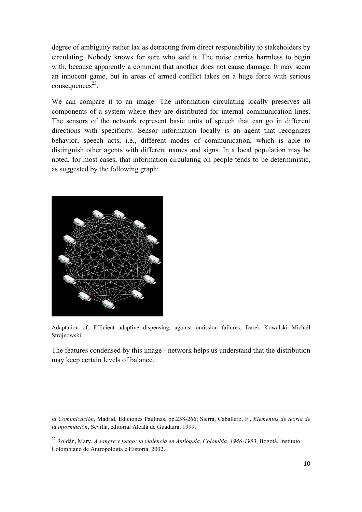degree of ambiguity rather lax as detracting from direct responsibility to stakeholders by circulating. Nobody knows for sure who said it. The noise carries harmless to begin with, because apparently a comment that another does not cause damage. It may seem an innocent game, but in areas of armed conflict takes on a huge force with serious  $consequences<sup>23</sup>$ .

We can compare it to an image. The information circulating locally preserves all components of a system where they are distributed for internal communication lines. The sensors of the network represent basic units of speech that can go in different directions with specificity. Sensor information locally is an agent that recognizes behavior, speech acts, i.e., different modes of communication, which is able to distinguish other agents with different names and signs. In a local population may be noted, for most cases, that information circulating on people tends to be deterministic, as suggested by the following graph:



Adaptation of: Efficient adaptive dispensing, against omission failures, Darek Kowalski Michałł Strojnowski

The features condensed by this image - network helps us understand that the distribution may keep certain levels of balance.

 *la Comunicación*, Madrid, Ediciones Paulinas, pp.258-266; Sierra, Caballero, F., *Elementos de teoría de la información*, Sevilla, editorial Alcalá de Guadaira, 1999.

<sup>23</sup> Roldán, Mary, *A sangre y fuego: la violencia en Antioquia, Colombia, 1946-1953*, Bogotá, Instituto Colombiano de Antropología e Historia, 2002.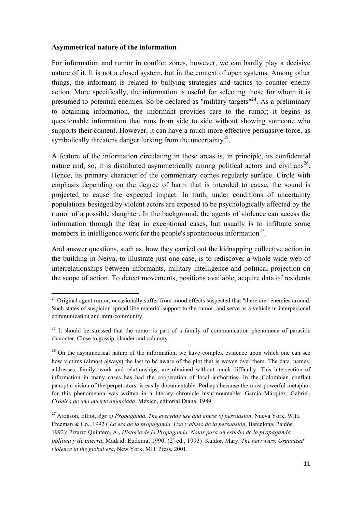#### **Asymmetrical nature of the information**

For information and rumor in conflict zones, however, we can hardly play a decisive nature of it. It is not a closed system, but in the context of open systems. Among other things, the informant is related to bullying strategies and tactics to counter enemy action. More specifically, the information is useful for selecting those for whom it is presumed to potential enemies. So be declared as "military targets"<sup>24</sup>. As a preliminary to obtaining information, the informant provides care to the rumor; it begins as questionable information that runs from side to side without showing someone who supports their content. However, it can have a much more effective persuasive force, as symbolically threatens danger lurking from the uncertainty<sup>25</sup>.

A feature of the information circulating in these areas is, in principle, its confidential nature and, so, it is distributed asymmetrically among political actors and civilians<sup>26</sup>. Hence, its primary character of the commentary comes regularly surface. Circle with emphasis depending on the degree of harm that is intended to cause, the sound is projected to cause the expected impact. In truth, under conditions of uncertainty populations besieged by violent actors are exposed to be psychologically affected by the rumor of a possible slaughter. In the background, the agents of violence can access the information through the fear in exceptional cases, but usually is to infiltrate some members in intelligence work for the people's spontaneous information $27$ .

And answer questions, such as, how they carried out the kidnapping collective action in the building in Neiva, to illustrate just one case, is to rediscover a whole wide web of interrelationships between informants, military intelligence and political projection on the scope of action. To detect movements, positions available, acquire data of residents

<sup>&</sup>lt;sup>24</sup> Original agent rumor, occasionally suffer from mood effects suspected that "there are" enemies around. Such states of suspicion spread like material support to the rumor, and serve as a vehicle in interpersonal communication and intra-community.

 $25$  It should be stressed that the rumor is part of a family of communication phenomena of parasitic character. Close to gossip, slander and calumny.

<sup>&</sup>lt;sup>26</sup> On the asymmetrical nature of the information, we have complex evidence upon which one can see how victims (almost always) the last to be aware of the plot that is woven over them. The data, names, addresses, family, work and relationships, are obtained without much difficulty. This intersection of information in many cases has had the cooperation of local authorities. In the Colombian conflict panoptic vision of the perpetrators, is easily documentable. Perhaps because the most powerful metaphor for this phenomenon was written in a literary chronicle insurmountable: García Márquez, Gabriel, *Crónica de una muerte anunciada*, México, editorial Diana, 1989.

<sup>27</sup> Aronson, Elliot, *Age of Propaganda. The everyday use and abuse of persuasion*, Nueva York, W.H. Freeman & Co., 1992 ( *La era de la propaganda. Uso y abuso de la persuasión*, Barcelona, Paidós, 1992); Pizarro Quintero, A., *Historia de la Propaganda. Notas para un estudio de la propaganda política y de guerra*, Madrid, Eudema, 1990. (2ª ed., 1993) Kaldor, Mary, *The new wars. Organized violence in the global era*, New York, MIT Press, 2001.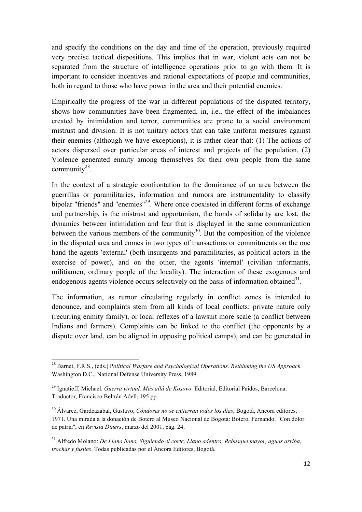and specify the conditions on the day and time of the operation, previously required very precise tactical dispositions. This implies that in war, violent acts can not be separated from the structure of intelligence operations prior to go with them. It is important to consider incentives and rational expectations of people and communities, both in regard to those who have power in the area and their potential enemies.

Empirically the progress of the war in different populations of the disputed territory, shows how communities have been fragmented, in, i.e., the effect of the imbalances created by intimidation and terror, communities are prone to a social environment mistrust and division. It is not unitary actors that can take uniform measures against their enemies (although we have exceptions), it is rather clear that: (1) The actions of actors dispersed over particular areas of interest and projects of the population, (2) Violence generated enmity among themselves for their own people from the same community $28$ .

In the context of a strategic confrontation to the dominance of an area between the guerrillas or paramilitaries, information and rumors are instrumentality to classify bipolar "friends" and "enemies"<sup>29</sup>. Where once coexisted in different forms of exchange and partnership, is the mistrust and opportunism, the bonds of solidarity are lost, the dynamics between intimidation and fear that is displayed in the same communication between the various members of the community<sup>30</sup>. But the composition of the violence in the disputed area and comes in two types of transactions or commitments on the one hand the agents 'external' (both insurgents and paramilitaries, as political actors in the exercise of power), and on the other, the agents 'internal' (civilian informants, militiamen, ordinary people of the locality). The interaction of these exogenous and endogenous agents violence occurs selectively on the basis of information obtained $31$ .

The information, as rumor circulating regularly in conflict zones is intended to denounce, and complaints stem from all kinds of local conflicts: private nature only (recurring enmity family), or local reflexes of a lawsuit more scale (a conflict between Indians and farmers). Complaints can be linked to the conflict (the opponents by a dispute over land, can be aligned in opposing political camps), and can be generated in

<u> 1989 - Jan Samuel Barbara, margaret e</u>

<sup>28</sup> Barnet, F.R.S., (eds.) P*olitical Warfare and Psychological Operations. Rethinking the US Approach* Washington D.C., National Defense University Press, 1989.

<sup>29</sup> Ignatieff, Michael. *Guerra virtual. Más allá de Kosovo*. Editorial, Editorial Paidós, Barcelona. Traductor, Francisco Beltrán Adell, 195 pp.

<sup>30</sup> Álvarez, Gardeazabal, Gustavo, *Cóndores no se entierran todos los días*, Bogotá, Ancora editores, 1971. Una mirada a la donación de Botero al Museo Nacional de Bogotá: Botero, Fernando. "Con dolor de patria", en *Revista Diners*, marzo del 2001, pág. 24.

<sup>31</sup> Alfredo Molano: *De Llano llano, Siguiendo el corte, Llano adentro, Rebusque mayor, aguas arriba, trochas y fusiles*. Todas publicadas por el Áncora Editores, Bogotá.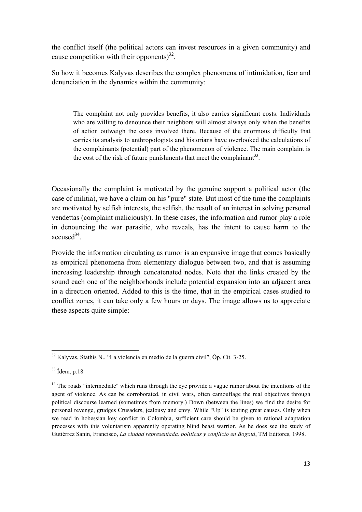the conflict itself (the political actors can invest resources in a given community) and cause competition with their opponents) $^{32}$ .

So how it becomes Kalyvas describes the complex phenomena of intimidation, fear and denunciation in the dynamics within the community:

The complaint not only provides benefits, it also carries significant costs. Individuals who are willing to denounce their neighbors will almost always only when the benefits of action outweigh the costs involved there. Because of the enormous difficulty that carries its analysis to anthropologists and historians have overlooked the calculations of the complainants (potential) part of the phenomenon of violence. The main complaint is the cost of the risk of future punishments that meet the complainant<sup>33</sup>.

Occasionally the complaint is motivated by the genuine support a political actor (the case of militia), we have a claim on his "pure" state. But most of the time the complaints are motivated by selfish interests, the selfish, the result of an interest in solving personal vendettas (complaint maliciously). In these cases, the information and rumor play a role in denouncing the war parasitic, who reveals, has the intent to cause harm to the  $accused<sup>34</sup>$ .

Provide the information circulating as rumor is an expansive image that comes basically as empirical phenomena from elementary dialogue between two, and that is assuming increasing leadership through concatenated nodes. Note that the links created by the sound each one of the neighborhoods include potential expansion into an adjacent area in a direction oriented. Added to this is the time, that in the empirical cases studied to conflict zones, it can take only a few hours or days. The image allows us to appreciate these aspects quite simple:

<u> 1989 - Jan Samuel Barbara, margaret e</u>

 $32$  Kalyvas, Stathis N., "La violencia en medio de la guerra civil", Óp. Cit. 3-25.

 $33$  Ídem, p.18

<sup>&</sup>lt;sup>34</sup> The roads "intermediate" which runs through the eye provide a vague rumor about the intentions of the agent of violence. As can be corroborated, in civil wars, often camouflage the real objectives through political discourse learned (sometimes from memory.) Down (between the lines) we find the desire for personal revenge, grudges Crusaders, jealousy and envy. While "Up" is touting great causes. Only when we read in hobessian key conflict in Colombia, sufficient care should be given to rational adaptation processes with this voluntarism apparently operating blind beast warrior. As he does see the study of Gutiérrez Sanín, Francisco, *La ciudad representada, políticas y conflicto en Bogotá*, TM Editores, 1998.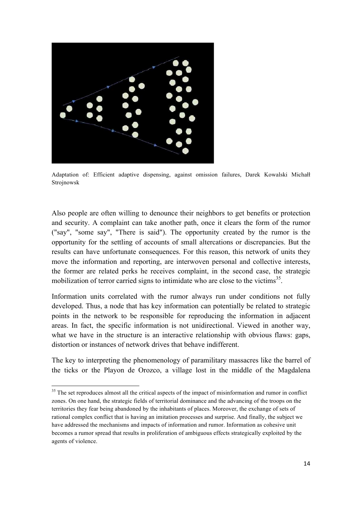

Adaptation of: Efficient adaptive dispensing, against omission failures, Darek Kowalski Michałł Strojnowsk

Also people are often willing to denounce their neighbors to get benefits or protection and security. A complaint can take another path, once it clears the form of the rumor ("say", "some say", "There is said"). The opportunity created by the rumor is the opportunity for the settling of accounts of small altercations or discrepancies. But the results can have unfortunate consequences. For this reason, this network of units they move the information and reporting, are interwoven personal and collective interests, the former are related perks he receives complaint, in the second case, the strategic mobilization of terror carried signs to intimidate who are close to the victims<sup>35</sup>.

Information units correlated with the rumor always run under conditions not fully developed. Thus, a node that has key information can potentially be related to strategic points in the network to be responsible for reproducing the information in adjacent areas. In fact, the specific information is not unidirectional. Viewed in another way, what we have in the structure is an interactive relationship with obvious flaws: gaps, distortion or instances of network drives that behave indifferent.

The key to interpreting the phenomenology of paramilitary massacres like the barrel of the ticks or the Playon de Orozco, a village lost in the middle of the Magdalena

<u> 1989 - Jan Samuel Barbara, margaret e</u>

<sup>&</sup>lt;sup>35</sup> The set reproduces almost all the critical aspects of the impact of misinformation and rumor in conflict zones. On one hand, the strategic fields of territorial dominance and the advancing of the troops on the territories they fear being abandoned by the inhabitants of places. Moreover, the exchange of sets of rational complex conflict that is having an imitation processes and surprise. And finally, the subject we have addressed the mechanisms and impacts of information and rumor. Information as cohesive unit becomes a rumor spread that results in proliferation of ambiguous effects strategically exploited by the agents of violence.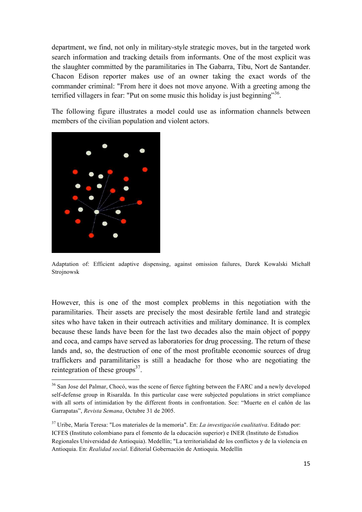department, we find, not only in military-style strategic moves, but in the targeted work search information and tracking details from informants. One of the most explicit was the slaughter committed by the paramilitaries in The Gabarra, Tibu, Nort de Santander. Chacon Edison reporter makes use of an owner taking the exact words of the commander criminal: "From here it does not move anyone. With a greeting among the terrified villagers in fear: "Put on some music this holiday is just beginning"<sup>36</sup>.

The following figure illustrates a model could use as information channels between members of the civilian population and violent actors.



<u> 1989 - Jan Samuel Barbara, margaret e</u>

Adaptation of: Efficient adaptive dispensing, against omission failures, Darek Kowalski Michałł Strojnowsk

However, this is one of the most complex problems in this negotiation with the paramilitaries. Their assets are precisely the most desirable fertile land and strategic sites who have taken in their outreach activities and military dominance. It is complex because these lands have been for the last two decades also the main object of poppy and coca, and camps have served as laboratories for drug processing. The return of these lands and, so, the destruction of one of the most profitable economic sources of drug traffickers and paramilitaries is still a headache for those who are negotiating the reintegration of these groups $^{37}$ .

<sup>&</sup>lt;sup>36</sup> San Jose del Palmar, Chocó, was the scene of fierce fighting between the FARC and a newly developed self-defense group in Risaralda. In this particular case were subjected populations in strict compliance with all sorts of intimidation by the different fronts in confrontation. See: "Muerte en el cañón de las Garrapatas", *Revista Semana*, Octubre 31 de 2005.

<sup>37</sup> Uribe, María Teresa: "Los materiales de la memoria". En: *La investigación cualitativa*. Editado por: ICFES (Instituto colombiano para el fomento de la educación superior) e INER (Instituto de Estudios Regionales Universidad de Antioquia). Medellín; "La territorialidad de los conflictos y de la violencia en Antioquia. En: *Realidad social*. Editorial Gobernación de Antioquia. Medellín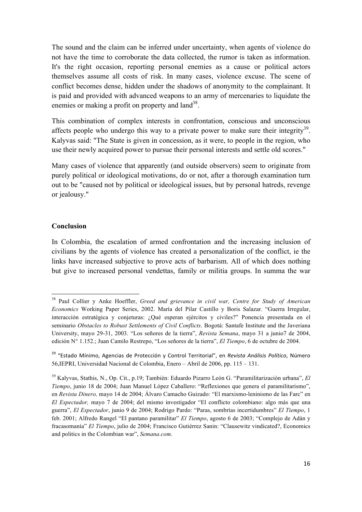The sound and the claim can be inferred under uncertainty, when agents of violence do not have the time to corroborate the data collected, the rumor is taken as information. It's the right occasion, reporting personal enemies as a cause or political actors themselves assume all costs of risk. In many cases, violence excuse. The scene of conflict becomes dense, hidden under the shadows of anonymity to the complainant. It is paid and provided with advanced weapons to an army of mercenaries to liquidate the enemies or making a profit on property and  $land^{38}$ .

This combination of complex interests in confrontation, conscious and unconscious affects people who undergo this way to a private power to make sure their integrity<sup>39</sup>. Kalyvas said: "The State is given in concession, as it were, to people in the region, who use their newly acquired power to pursue their personal interests and settle old scores."

Many cases of violence that apparently (and outside observers) seem to originate from purely political or ideological motivations, do or not, after a thorough examination turn out to be "caused not by political or ideological issues, but by personal hatreds, revenge or jealousy."

### **Conclusion**

<u> 1989 - Jan Samuel Barbara, margaret e</u>

In Colombia, the escalation of armed confrontation and the increasing inclusion of civilians by the agents of violence has created a personalization of the conflict, ie the links have increased subjective to prove acts of barbarism. All of which does nothing but give to increased personal vendettas, family or militia groups. In summa the war

<sup>38</sup> Paul Collier y Anke Hoeffler, *Greed and grievance in civil war, Centre for Study of American Economics* Working Paper Series, 2002. María del Pilar Castillo y Boris Salazar. "Guerra Irregular, interacción estratégica y conjeturas: ¿Qué esperan ejércitos y civiles?" Ponencia presentada en el seminario *Obstacles to Robust Settlements of Civil Conflicts*. Bogotá: Santafe Institute and the Javeriana University, mayo 29-31, 2003. "Los señores de la tierra", *Revista Semana*, mayo 31 a junio7 de 2004, edición N° 1.152.; Juan Camilo Restrepo, "Los señores de la tierra", *El Tiempo*, 6 de octubre de 2004.

<sup>&</sup>lt;sup>39</sup> "Estado Mínimo, Agencias de Protección y Control Territorial", en Revista Análisis Político, Número 56,IEPRI, Universidad Nacional de Colombia, Enero – Abril de 2006, pp. 115 – 131.

<sup>39</sup> Kalyvas, Stathis, N., Op. Cit., p.19; También: Eduardo Pizarro León G. "Paramilitarización urbana", *El Tiempo*, junio 18 de 2004; Juan Manuel López Caballero: "Reflexiones que genera el paramilitarismo", en *Revista Dinero,* mayo 14 de 2004; Álvaro Camacho Guizado: "El marxismo-leninismo de las Farc" en *El Espectador,* mayo 7 de 2004; del mismo investigador "El conflicto colombiano: algo más que una guerra", *El Espectador*, junio 9 de 2004; Rodrigo Pardo: "Paras, sombrías incertidumbres" *El Tiempo*, 1 feb. 2001; Alfredo Rangel "El pantano paramilitar" *El Tiempo*, agosto 6 de 2003; "Complejo de Adán y fracasomanía" *El Tiempo*, julio de 2004; Francisco Gutiérrez Sanin: "Clausewitz vindicated?, Economics and politics in the Colombian war", *Semana.com*.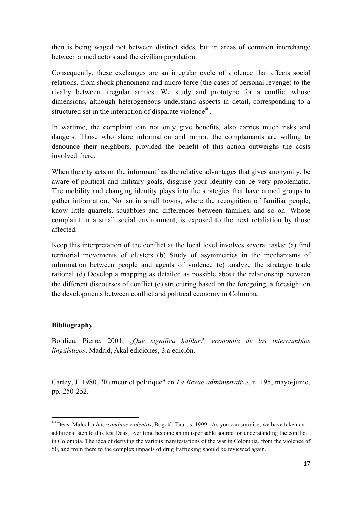then is being waged not between distinct sides, but in areas of common interchange between armed actors and the civilian population.

Consequently, these exchanges are an irregular cycle of violence that affects social relations, from shock phenomena and micro force (the cases of personal revenge) to the rivalry between irregular armies. We study and prototype for a conflict whose dimensions, although heterogeneous understand aspects in detail, corresponding to a structured set in the interaction of disparate violence $40$ .

In wartime, the complaint can not only give benefits, also carries much risks and dangers. Those who share information and rumor, the complainants are willing to denounce their neighbors, provided the benefit of this action outweighs the costs involved there.

When the city acts on the informant has the relative advantages that gives anonymity, be aware of political and military goals, disguise your identity can be very problematic. The mobility and changing identity plays into the strategies that have armed groups to gather information. Not so in small towns, where the recognition of familiar people, know little quarrels, squabbles and differences between families, and so on. Whose complaint in a small social environment, is exposed to the next retaliation by those affected.

Keep this interpretation of the conflict at the local level involves several tasks: (a) find territorial movements of clusters (b) Study of asymmetries in the mechanisms of information between people and agents of violence (c) analyze the strategic trade rational (d) Develop a mapping as detailed as possible about the relationship between the different discourses of conflict (e) structuring based on the foregoing, a foresight on the developments between conflict and political economy in Colombia.

### **Bibliography**

<u> 1989 - Jan Samuel Barbara, margaret e</u>

Bordieu, Pierre, 2001, ¿*Qué significa hablar?, economía de los intercambios lingüísticos*, Madrid, Akal ediciones, 3.a edición.

Cartey, J. 1980, "Rumeur et politique" en *La Revue administrative*, n. 195, mayo-junio, pp. 250-252.

<sup>40</sup> Deas. Malcolm *Intercambios violentos*, Bogotá, Taurus, 1999. As you can surmise, we have taken an additional step to this test Deas, over time become an indispensable source for understanding the conflict in Colombia. The idea of deriving the various manifestations of the war in Colombia, from the violence of 50, and from there to the complex impacts of drug trafficking should be reviewed again.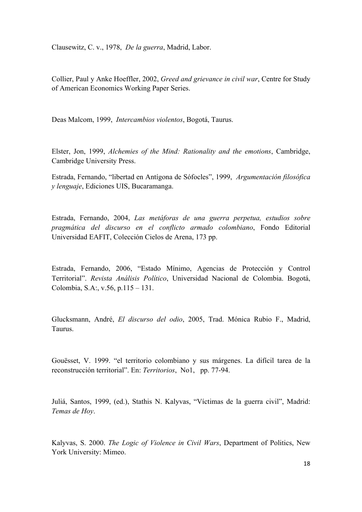Clausewitz, C. v., 1978, *De la guerra*, Madrid, Labor.

Collier, Paul y Anke Hoeffler, 2002, *Greed and grievance in civil war*, Centre for Study of American Economics Working Paper Series.

Deas Malcom, 1999, *Intercambios violentos*, Bogotá, Taurus.

Elster, Jon, 1999, *Alchemies of the Mind: Rationality and the emotions*, Cambridge, Cambridge University Press.

Estrada, Fernando, "libertad en Antígona de Sófocles", 1999, *Argumentación filosófica y lenguaje*, Ediciones UIS, Bucaramanga.

Estrada, Fernando, 2004, *Las metáforas de una guerra perpetua, estudios sobre pragmática del discurso en el conflicto armado colombiano*, Fondo Editorial Universidad EAFIT, Colección Cielos de Arena, 173 pp.

Estrada, Fernando, 2006, "Estado Mínimo, Agencias de Protección y Control Territorial". *Revista Análisis Político*, Universidad Nacional de Colombia. Bogotá, Colombia, S.A:, v.56, p.115 – 131.

Glucksmann, André, *El discurso del odio*, 2005, Trad. Mónica Rubio F., Madrid, Taurus.

Gouësset, V. 1999. "el territorio colombiano y sus márgenes. La difícil tarea de la reconstrucción territorial". En: *Territorios*, No1, pp. 77-94.

Juliá, Santos, 1999, (ed.), Stathis N. Kalyvas, "Víctimas de la guerra civil", Madrid: *Temas de Hoy*.

Kalyvas, S. 2000. *The Logic of Violence in Civil Wars*, Department of Politics, New York University: Mimeo.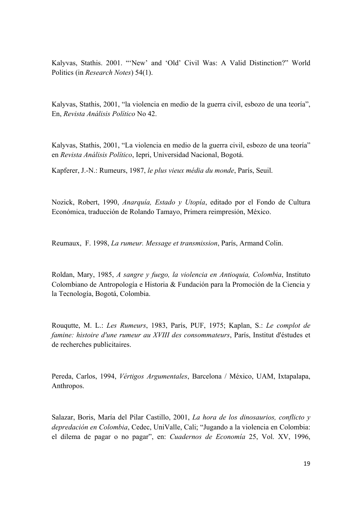Kalyvas, Stathis. 2001. "'New' and 'Old' Civil Was: A Valid Distinction?" World Politics (in *Research Notes*) 54(1).

Kalyvas, Stathis, 2001, "la violencia en medio de la guerra civil, esbozo de una teoría", En, *Revista Análisis Político* No 42.

Kalyvas, Stathis, 2001, "La violencia en medio de la guerra civil, esbozo de una teoría" en *Revista Análisis Político*, Iepri, Universidad Nacional, Bogotá.

Kapferer, J.-N.: Rumeurs, 1987, *le plus vieux média du monde*, París, Seuil.

Nozick, Robert, 1990, *Anarquía, Estado y Utopía*, editado por el Fondo de Cultura Económica, traducción de Rolando Tamayo, Primera reimpresión, México.

Reumaux, F. 1998, *La rumeur. Message et transmission*, París, Armand Colin.

Roldan, Mary, 1985, *A sangre y fuego, la violencia en Antioquia, Colombia*, Instituto Colombiano de Antropología e Historia & Fundación para la Promoción de la Ciencia y la Tecnología, Bogotá, Colombia.

Rouqutte, M. L.: *Les Rumeurs*, 1983, París, PUF, 1975; Kaplan, S.: *Le complot de famine: histoire d'une rumeur au XVIII des consommateurs*, París, Institut d'éstudes et de recherches publicitaires.

Pereda, Carlos, 1994, *Vértigos Argumentales*, Barcelona / México, UAM, Ixtapalapa, Anthropos.

Salazar, Boris, María del Pilar Castillo, 2001, *La hora de los dinosaurios, conflicto y depredación en Colombia*, Cedec, UniValle, Cali; "Jugando a la violencia en Colombia: el dilema de pagar o no pagar", en: *Cuadernos de Economía* 25, Vol. XV, 1996,